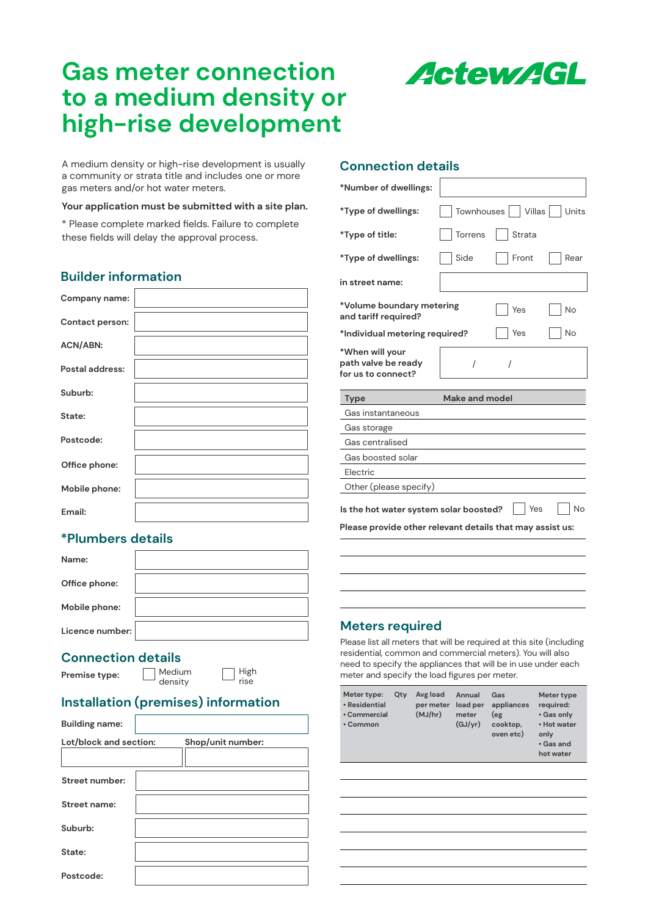## **Gas meter connection to a medium density or high-rise development**

A medium density or high-rise development is usually a community or strata title and includes one or more

#### **Your application must be submitted with a site plan.**

\* Please complete marked fields. Failure to complete these fields will delay the approval process.

### **Builder information**

gas meters and/or hot water meters.

| Company name:   |  |
|-----------------|--|
| Contact person: |  |
| <b>ACN/ABN:</b> |  |
| Postal address: |  |
| Suburb:         |  |
| State:          |  |
| Postcode:       |  |
| Office phone:   |  |
| Mobile phone:   |  |
| Email:          |  |

### **\*Plumbers details**

| Name:           |  |
|-----------------|--|
| Office phone:   |  |
| Mobile phone:   |  |
| Licence number: |  |

# **Connection details**<br>**Premise type:**  $\Box$  Medium

**Premise type:** 

High rise

### **Installation (premises) information**

density

| <b>Building name:</b>  |                   |
|------------------------|-------------------|
| Lot/block and section: | Shop/unit number: |
|                        |                   |
| Street number:         |                   |
| Street name:           |                   |
| Suburb:                |                   |
| State:                 |                   |
| Postcode:              |                   |

#### **Connection details**

| *Number of dwellings:                                        |                |                       |       |
|--------------------------------------------------------------|----------------|-----------------------|-------|
| *Type of dwellings:                                          |                | Townhouses     Villas | Units |
| *Type of title:                                              | Torrens        | Strata                |       |
| *Type of dwellings:                                          | Side           | Front                 | Rear  |
| in street name:                                              |                |                       |       |
| *Volume boundary metering<br>and tariff required?            |                | Yes                   | No    |
| *Individual metering required?                               |                | Yes                   | No    |
| *When will your<br>path valve be ready<br>for us to connect? | 1              | 7                     |       |
|                                                              |                |                       |       |
| <b>Type</b>                                                  | Make and model |                       |       |
| Gas instantaneous                                            |                |                       |       |
| Gas storage                                                  |                |                       |       |
| Gas centralised                                              |                |                       |       |
| Gas boosted solar                                            |                |                       |       |
| Electric                                                     |                |                       |       |
| Other (please specify)                                       |                |                       |       |
| Is the hot water system solar boosted?                       |                | Yes                   | No    |
| Please provide other relevant details that may assist us:    |                |                       |       |
|                                                              |                |                       |       |

#### **Meters required**

Please list all meters that will be required at this site (including residential, common and commercial meters). You will also need to specify the appliances that will be in use under each meter and specify the load figures per meter.

| Meter type:<br>• Residential<br>• Commercial<br>• Common | Qty | Avg load<br>per meter<br>(MJ/hr) | Annual<br>load per<br>meter<br>(GJ/yr) | Gas<br>appliances<br>(eg<br>cooktop,<br>oven etc) | Meter type<br>required:<br>• Gas only<br>• Hot water<br>only<br>• Gas and<br>hot water |
|----------------------------------------------------------|-----|----------------------------------|----------------------------------------|---------------------------------------------------|----------------------------------------------------------------------------------------|
|                                                          |     |                                  |                                        |                                                   |                                                                                        |